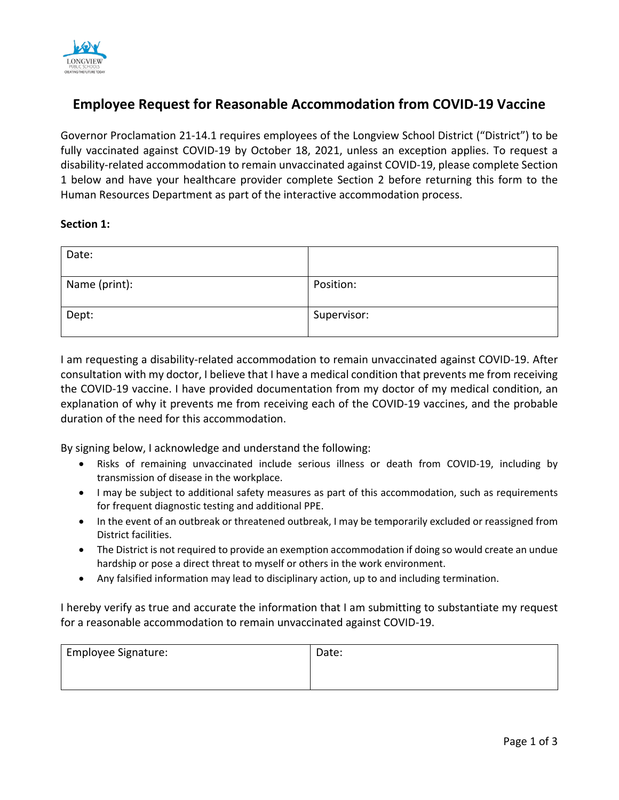

# **Employee Request for Reasonable Accommodation from COVID-19 Vaccine**

Governor Proclamation 21-14.1 requires employees of the Longview School District ("District") to be fully vaccinated against COVID-19 by October 18, 2021, unless an exception applies. To request a disability-related accommodation to remain unvaccinated against COVID-19, please complete Section 1 below and have your healthcare provider complete Section 2 before returning this form to the Human Resources Department as part of the interactive accommodation process.

# **Section 1:**

| Date:         |             |
|---------------|-------------|
| Name (print): | Position:   |
| Dept:         | Supervisor: |

I am requesting a disability-related accommodation to remain unvaccinated against COVID-19. After consultation with my doctor, I believe that I have a medical condition that prevents me from receiving the COVID-19 vaccine. I have provided documentation from my doctor of my medical condition, an explanation of why it prevents me from receiving each of the COVID-19 vaccines, and the probable duration of the need for this accommodation.

By signing below, I acknowledge and understand the following:

- Risks of remaining unvaccinated include serious illness or death from COVID-19, including by transmission of disease in the workplace.
- I may be subject to additional safety measures as part of this accommodation, such as requirements for frequent diagnostic testing and additional PPE.
- In the event of an outbreak or threatened outbreak, I may be temporarily excluded or reassigned from District facilities.
- The District is not required to provide an exemption accommodation if doing so would create an undue hardship or pose a direct threat to myself or others in the work environment.
- Any falsified information may lead to disciplinary action, up to and including termination.

I hereby verify as true and accurate the information that I am submitting to substantiate my request for a reasonable accommodation to remain unvaccinated against COVID-19.

| <b>Employee Signature:</b> | Date: |
|----------------------------|-------|
|                            |       |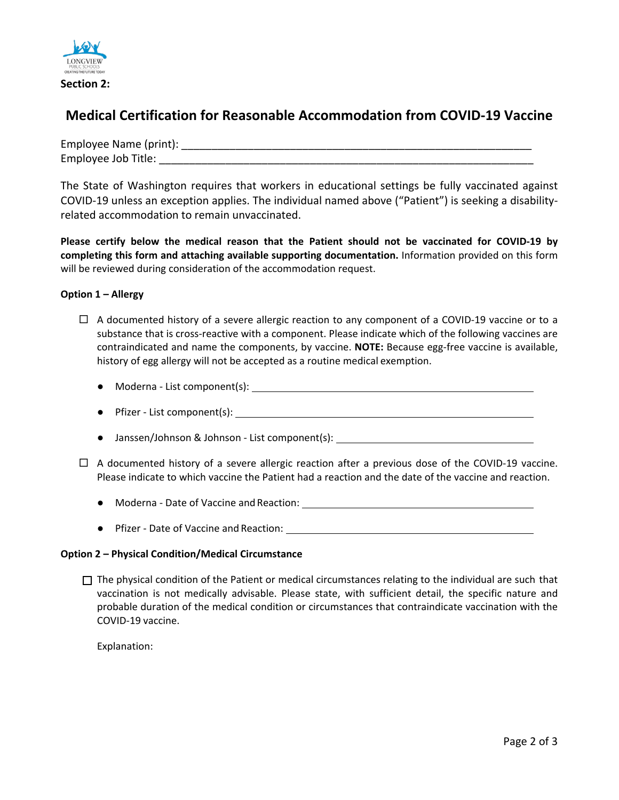

**Section 2:** 

# **Medical Certification for Reasonable Accommodation from COVID-19 Vaccine**

| Employee Name (print): |  |
|------------------------|--|
| Employee Job Title:    |  |

The State of Washington requires that workers in educational settings be fully vaccinated against COVID-19 unless an exception applies. The individual named above ("Patient") is seeking a disabilityrelated accommodation to remain unvaccinated.

**Please certify below the medical reason that the Patient should not be vaccinated for COVID-19 by completing this form and attaching available supporting documentation.** Information provided on this form will be reviewed during consideration of the accommodation request.

## **Option 1 – Allergy**

- $\Box$  A documented history of a severe allergic reaction to any component of a COVID-19 vaccine or to a substance that is cross-reactive with a component. Please indicate which of the following vaccines are contraindicated and name the components, by vaccine. **NOTE:** Because egg-free vaccine is available, history of egg allergy will not be accepted as a routine medical exemption.
	- Moderna List component(s):
	- Pfizer List component(s):
	- Janssen/Johnson & Johnson List component(s):
- $\Box$  A documented history of a severe allergic reaction after a previous dose of the COVID-19 vaccine. Please indicate to which vaccine the Patient had a reaction and the date of the vaccine and reaction.
	- Moderna Date of Vaccine and Reaction: → Northernal State of Vaccine and Reaction:
	- Pfizer Date of Vaccine and Reaction:

#### **Option 2 – Physical Condition/Medical Circumstance**

 $\Box$  The physical condition of the Patient or medical circumstances relating to the individual are such that vaccination is not medically advisable. Please state, with sufficient detail, the specific nature and probable duration of the medical condition or circumstances that contraindicate vaccination with the COVID-19 vaccine.

Explanation: